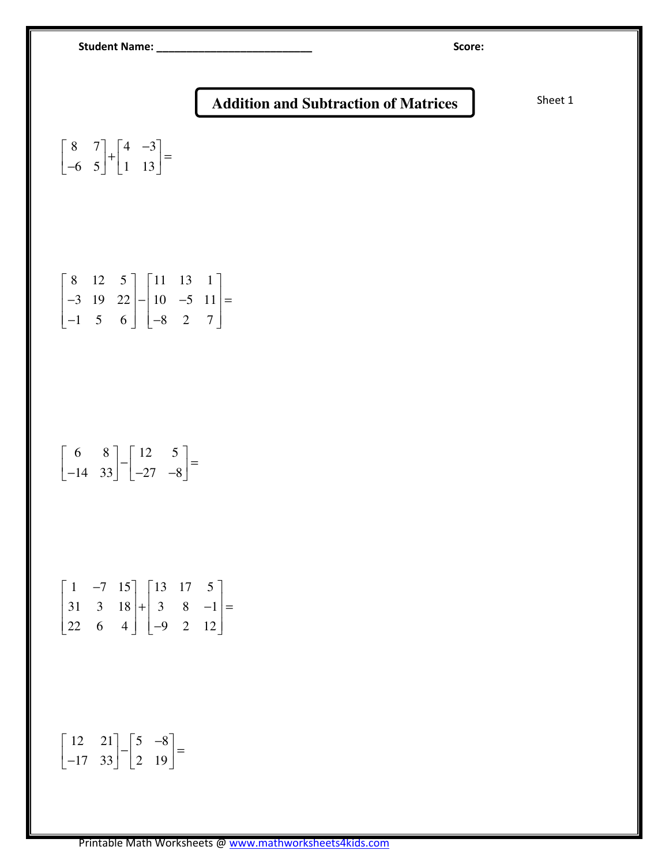## Student Name: \_\_\_\_\_\_\_\_\_\_\_\_\_\_\_\_\_\_\_\_\_\_\_\_\_\_ Score:

## Addition and Subtraction of Matrices Sheet 1

$$
\begin{bmatrix} 8 & 7 \\ -6 & 5 \end{bmatrix} + \begin{bmatrix} 4 & -3 \\ 1 & 13 \end{bmatrix} =
$$

$$
\begin{bmatrix} 8 & 12 & 5 \ -3 & 19 & 22 \ -1 & 5 & 6 \end{bmatrix} - \begin{bmatrix} 11 & 13 & 1 \ 10 & -5 & 11 \ -8 & 2 & 7 \end{bmatrix} =
$$

$$
\begin{bmatrix} 6 & 8 \ -14 & 33 \end{bmatrix} - \begin{bmatrix} 12 & 5 \ -27 & -8 \end{bmatrix} =
$$

$$
\begin{bmatrix} 1 & -7 & 15 \ 31 & 3 & 18 \ 22 & 6 & 4 \end{bmatrix} + \begin{bmatrix} 13 & 17 & 5 \ 3 & 8 & -1 \ -9 & 2 & 12 \end{bmatrix} =
$$

$$
\begin{bmatrix} 12 & 21 \\ -17 & 33 \end{bmatrix} - \begin{bmatrix} 5 & -8 \\ 2 & 19 \end{bmatrix} =
$$